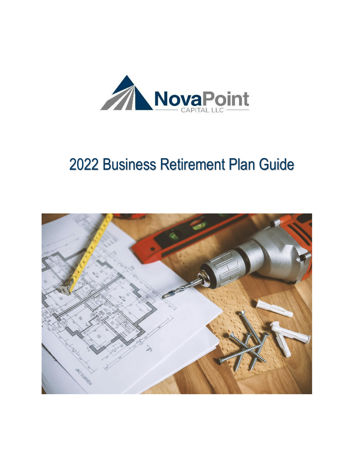

# Business Retirement Plan Guide

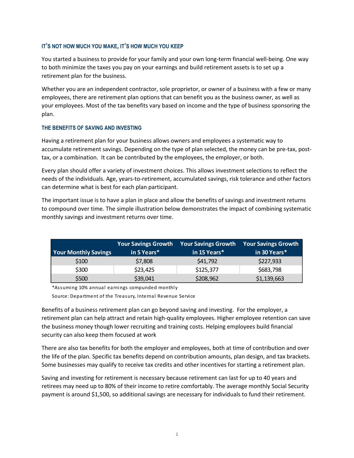## **IT'S NOT HOW MUCH YOU MAKE, IT'S HOW MUCH YOU KEEP**

You started a business to provide for your family and your own long-term financial well-being. One way to both minimize the taxes you pay on your earnings and build retirement assets is to set up a retirement plan for the business.

Whether you are an independent contractor, sole proprietor, or owner of a business with a few or many employees, there are retirement plan options that can benefit you as the business owner, as well as your employees. Most of the tax benefits vary based on income and the type of business sponsoring the plan.

#### **THE BENEFITS OF SAVING AND INVESTING**

Having a retirement plan for your business allows owners and employees a systematic way to accumulate retirement savings. Depending on the type of plan selected, the money can be pre-tax, posttax, or a combination. It can be contributed by the employees, the employer, or both.

Every plan should offer a variety of investment choices. This allows investment selections to reflect the needs of the individuals. Age, years-to-retirement, accumulated savings, risk tolerance and other factors can determine what is best for each plan participant.

The important issue is to have a plan in place and allow the benefits of savings and investment returns to compound over time. The simple illustration below demonstrates the impact of combining systematic monthly savings and investment returns over time.

| <b>Your Monthly Savings</b> | <b>Your Savings Growth</b><br>in 5 Years* | <b>Your Savings Growth</b><br>in 15 Years* | <b>Your Savings Growth</b><br>in 30 Years* |
|-----------------------------|-------------------------------------------|--------------------------------------------|--------------------------------------------|
| \$100                       | \$7,808                                   | \$41,792                                   | \$227,933                                  |
| \$300                       | \$23,425                                  | \$125,377                                  | \$683,798                                  |
| \$500                       | \$39,041                                  | \$208,962                                  | \$1,139,663                                |

\*Assuming 10% annual earnings compunded monthly

Source: Department of the Treasury, Internal Revenue Service

Benefits of a business retirement plan can go beyond saving and investing. For the employer, a retirement plan can help attract and retain high-quality employees. Higher employee retention can save the business money though lower recruiting and training costs. Helping employees build financial security can also keep them focused at work

There are also tax benefits for both the employer and employees, both at time of contribution and over the life of the plan. Specific tax benefits depend on contribution amounts, plan design, and tax brackets. Some businesses may qualify to receive tax credits and other incentives for starting a retirement plan.

Saving and investing for retirement is necessary because retirement can last for up to 40 years and retirees may need up to 80% of their income to retire comfortably. The average monthly Social Security payment is around \$1,500, so additional savings are necessary for individuals to fund their retirement.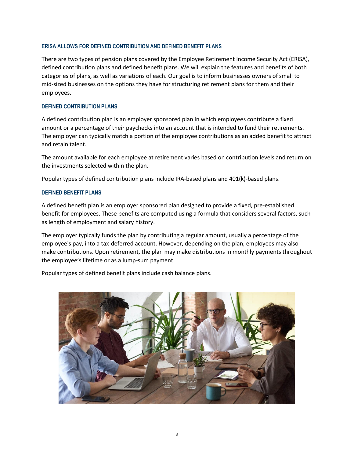#### **ERISA ALLOWS FOR DEFINED CONTRIBUTION AND DEFINED BENEFIT PLANS**

There are two types of pension plans covered by the Employee Retirement Income Security Act (ERISA), defined contribution plans and defined benefit plans. We will explain the features and benefits of both categories of plans, as well as variations of each. Our goal is to inform businesses owners of small to mid-sized businesses on the options they have for structuring retirement plans for them and their employees.

#### **DEFINED CONTRIBUTION PLANS**

A defined contribution plan is an employer sponsored plan in which employees contribute a fixed amount or a percentage of their paychecks into an account that is intended to fund their retirements. The employer can typically match a portion of the employee contributions as an added benefit to attract and retain talent.

The amount available for each employee at retirement varies based on contribution levels and return on the investments selected within the plan.

Popular types of defined contribution plans include IRA-based plans and 401(k)-based plans.

#### **DEFINED BENEFIT PLANS**

A defined benefit plan is an employer sponsored plan designed to provide a fixed, pre-established benefit for employees. These benefits are computed using a formula that considers several factors, such as length of employment and salary history.

The employer typically funds the plan by contributing a regular amount, usually a percentage of the employee's pay, into a tax-deferred account. However, depending on the plan, employees may also make contributions. Upon retirement, the plan may make distributions in monthly payments throughout the employee's lifetime or as a lump-sum payment.

Popular types of defined benefit plans include cash balance plans.

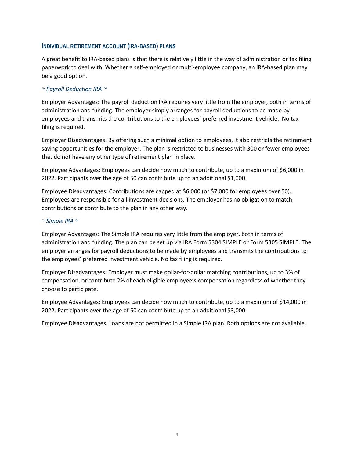#### **INDIVIDUAL RETIREMENT ACCOUNT (IRA-BASED) PLANS**

A great benefit to IRA-based plans is that there is relatively little in the way of administration or tax filing paperwork to deal with. Whether a self-employed or multi-employee company, an IRA-based plan may be a good option.

### *~ Payroll Deduction IRA ~*

Employer Advantages: The payroll deduction IRA requires very little from the employer, both in terms of administration and funding. The employer simply arranges for payroll deductions to be made by employees and transmits the contributions to the employees' preferred investment vehicle. No tax filing is required.

Employer Disadvantages: By offering such a minimal option to employees, it also restricts the retirement saving opportunities for the employer. The plan is restricted to businesses with 300 or fewer employees that do not have any other type of retirement plan in place.

Employee Advantages: Employees can decide how much to contribute, up to a maximum of \$6,000 in 2022. Participants over the age of 50 can contribute up to an additional \$1,000.

Employee Disadvantages: Contributions are capped at \$6,000 (or \$7,000 for employees over 50). Employees are responsible for all investment decisions. The employer has no obligation to match contributions or contribute to the plan in any other way.

#### *~ Simple IRA ~*

Employer Advantages: The Simple IRA requires very little from the employer, both in terms of administration and funding. The plan can be set up via IRA Form 5304 SIMPLE or Form 5305 SIMPLE. The employer arranges for payroll deductions to be made by employees and transmits the contributions to the employees' preferred investment vehicle. No tax filing is required.

Employer Disadvantages: Employer must make dollar-for-dollar matching contributions, up to 3% of compensation, or contribute 2% of each eligible employee's compensation regardless of whether they choose to participate.

Employee Advantages: Employees can decide how much to contribute, up to a maximum of \$14,000 in 2022. Participants over the age of 50 can contribute up to an additional \$3,000.

Employee Disadvantages: Loans are not permitted in a Simple IRA plan. Roth options are not available.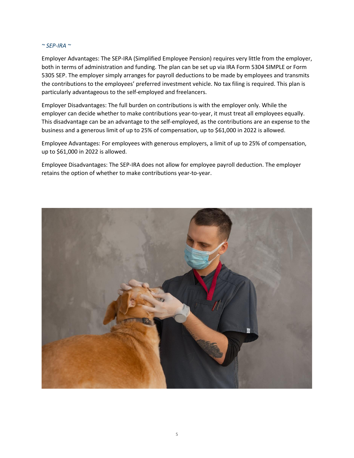#### *~ SEP-IRA ~*

Employer Advantages: The SEP-IRA (Simplified Employee Pension) requires very little from the employer, both in terms of administration and funding. The plan can be set up via IRA Form 5304 SIMPLE or Form 5305 SEP. The employer simply arranges for payroll deductions to be made by employees and transmits the contributions to the employees' preferred investment vehicle. No tax filing is required. This plan is particularly advantageous to the self-employed and freelancers.

Employer Disadvantages: The full burden on contributions is with the employer only. While the employer can decide whether to make contributions year-to-year, it must treat all employees equally. This disadvantage can be an advantage to the self-employed, as the contributions are an expense to the business and a generous limit of up to 25% of compensation, up to \$61,000 in 2022 is allowed.

Employee Advantages: For employees with generous employers, a limit of up to 25% of compensation, up to \$61,000 in 2022 is allowed.

Employee Disadvantages: The SEP-IRA does not allow for employee payroll deduction. The employer retains the option of whether to make contributions year-to-year.

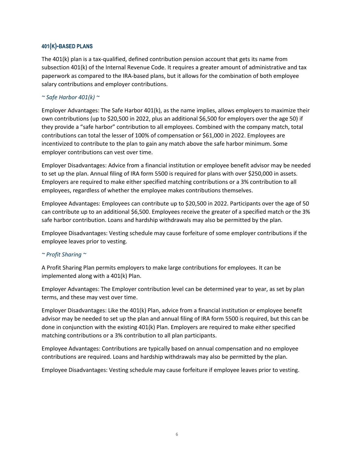## **401(K)-BASED PLANS**

The 401(k) plan is a tax-qualified, defined contribution pension account that gets its name from subsection 401(k) of the Internal Revenue Code. It requires a greater amount of administrative and tax paperwork as compared to the IRA-based plans, but it allows for the combination of both employee salary contributions and employer contributions.

## *~ Safe Harbor 401(k) ~*

Employer Advantages: The Safe Harbor 401(k), as the name implies, allows employers to maximize their own contributions (up to \$20,500 in 2022, plus an additional \$6,500 for employers over the age 50) if they provide a "safe harbor" contribution to all employees. Combined with the company match, total contributions can total the lesser of 100% of compensation or \$61,000 in 2022. Employees are incentivized to contribute to the plan to gain any match above the safe harbor minimum. Some employer contributions can vest over time.

Employer Disadvantages: Advice from a financial institution or employee benefit advisor may be needed to set up the plan. Annual filing of IRA form 5500 is required for plans with over \$250,000 in assets. Employers are required to make either specified matching contributions or a 3% contribution to all employees, regardless of whether the employee makes contributions themselves.

Employee Advantages: Employees can contribute up to \$20,500 in 2022. Participants over the age of 50 can contribute up to an additional \$6,500. Employees receive the greater of a specified match or the 3% safe harbor contribution. Loans and hardship withdrawals may also be permitted by the plan.

Employee Disadvantages: Vesting schedule may cause forfeiture of some employer contributions if the employee leaves prior to vesting.

#### *~ Profit Sharing ~*

A Profit Sharing Plan permits employers to make large contributions for employees. It can be implemented along with a 401(k) Plan.

Employer Advantages: The Employer contribution level can be determined year to year, as set by plan terms, and these may vest over time.

Employer Disadvantages: Like the 401(k) Plan, advice from a financial institution or employee benefit advisor may be needed to set up the plan and annual filing of IRA form 5500 is required, but this can be done in conjunction with the existing 401(k) Plan. Employers are required to make either specified matching contributions or a 3% contribution to all plan participants.

Employee Advantages: Contributions are typically based on annual compensation and no employee contributions are required. Loans and hardship withdrawals may also be permitted by the plan.

Employee Disadvantages: Vesting schedule may cause forfeiture if employee leaves prior to vesting.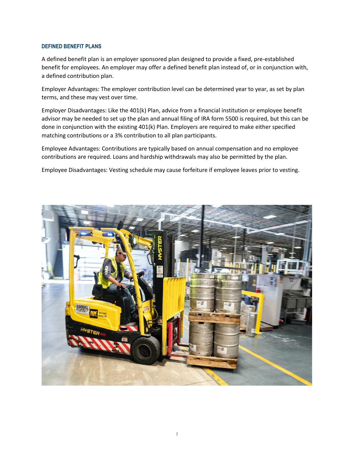#### **DEFINED BENEFIT PLANS**

A defined benefit plan is an employer sponsored plan designed to provide a fixed, pre-established benefit for employees. An employer may offer a defined benefit plan instead of, or in conjunction with, a defined contribution plan.

Employer Advantages: The employer contribution level can be determined year to year, as set by plan terms, and these may vest over time.

Employer Disadvantages: Like the 401(k) Plan, advice from a financial institution or employee benefit advisor may be needed to set up the plan and annual filing of IRA form 5500 is required, but this can be done in conjunction with the existing 401(k) Plan. Employers are required to make either specified matching contributions or a 3% contribution to all plan participants.

Employee Advantages: Contributions are typically based on annual compensation and no employee contributions are required. Loans and hardship withdrawals may also be permitted by the plan.

Employee Disadvantages: Vesting schedule may cause forfeiture if employee leaves prior to vesting.

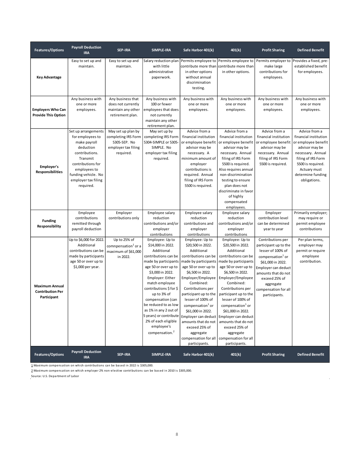| <b>Features/Options</b>                                         | <b>Payroll Deduction</b><br><b>IRA</b>                                                                                                                                                             | <b>SEP-IRA</b>                                                                                | SIMPLE-IRA                                                                                                                                                                                                                                                                                                                                                                                        | Safe Harbor 401(k)                                                                                                                                                                                                                                                                                                                                                                                                            | 401(k)                                                                                                                                                                                                                                                                                                                                                                                                                        | <b>Profit Sharing</b>                                                                                                                                                                                                            | <b>Defined Benefit</b>                                                                                                                                                                               |
|-----------------------------------------------------------------|----------------------------------------------------------------------------------------------------------------------------------------------------------------------------------------------------|-----------------------------------------------------------------------------------------------|---------------------------------------------------------------------------------------------------------------------------------------------------------------------------------------------------------------------------------------------------------------------------------------------------------------------------------------------------------------------------------------------------|-------------------------------------------------------------------------------------------------------------------------------------------------------------------------------------------------------------------------------------------------------------------------------------------------------------------------------------------------------------------------------------------------------------------------------|-------------------------------------------------------------------------------------------------------------------------------------------------------------------------------------------------------------------------------------------------------------------------------------------------------------------------------------------------------------------------------------------------------------------------------|----------------------------------------------------------------------------------------------------------------------------------------------------------------------------------------------------------------------------------|------------------------------------------------------------------------------------------------------------------------------------------------------------------------------------------------------|
| Key Advantage                                                   | Easy to set up and<br>maintain.                                                                                                                                                                    | Easy to set up and<br>maintain.                                                               | Salary reduction plan<br>with little<br>administrative<br>paperwork.                                                                                                                                                                                                                                                                                                                              | Permits employee to<br>contribute more than<br>in other options<br>without annual<br>discrimination<br>testing.                                                                                                                                                                                                                                                                                                               | Permits employee to<br>contribute more than<br>in other options.                                                                                                                                                                                                                                                                                                                                                              | Permits employer to<br>make large<br>contributions for<br>employees.                                                                                                                                                             | Provides a fixed, pre-<br>established benefit<br>for employees.                                                                                                                                      |
| <b>Employers Who Can</b><br><b>Provide This Option</b>          | Any business with<br>one or more<br>employees.                                                                                                                                                     | Any business that<br>does not currently<br>maintain any other<br>retirement plan.             | Any business with<br>100 or fewer<br>employees that does<br>not currently<br>maintain any other<br>retirement plan.                                                                                                                                                                                                                                                                               | Any business with<br>one or more<br>employees.                                                                                                                                                                                                                                                                                                                                                                                | Any business with<br>one or more<br>employees.                                                                                                                                                                                                                                                                                                                                                                                | Any business with<br>one or more<br>employees.                                                                                                                                                                                   | Any business with<br>one or more<br>employees.                                                                                                                                                       |
| Employer's<br><b>Responsibilities</b>                           | Set up arrangements<br>for employees to<br>make payroll<br>deduction<br>contributions.<br>Transmit<br>contributions for<br>employees to<br>funding vehicle. No<br>employer tax filing<br>required. | May set up plan by<br>completing IRS Form<br>5305-SEP. No<br>employer tax filing<br>required. | May set up by<br>completing IRS Form<br>5304-SIMPLE or 5305-<br>SIMPLE. No<br>employer tax filing<br>required.                                                                                                                                                                                                                                                                                    | Advice from a<br>financial institution<br>or employee benefit<br>advisor may be<br>necessary. A<br>minimum amount of<br>employer<br>contributions is<br>required. Annual<br>filing of IRS Form<br>5500 is required.                                                                                                                                                                                                           | Advice from a<br>financial institution<br>or employee benefit<br>advisor may be<br>necessary. Annual<br>filing of IRS Form<br>5500 is required.<br>Also requires annual<br>non-discrimination<br>testing to ensure<br>plan does not<br>discriminate in favor<br>of highly<br>compensated<br>employees.                                                                                                                        | Advice from a<br>financial institution<br>or employee benefit<br>advisor may be<br>necessary. Annual<br>filing of IRS Form<br>5500 is required.                                                                                  | Advice from a<br>financial institution<br>or employee benefit<br>advisor may be<br>necessary. Annual<br>filing of IRS Form<br>5500 is required.<br>Actuary must<br>determine funding<br>obligations. |
| <b>Funding</b><br>Responsibility                                | Employee<br>contributions<br>remitted through<br>payroll deduction                                                                                                                                 | Employer<br>contributions only                                                                | Employee salary<br>reduction<br>contributions and/or<br>employer<br>contributions                                                                                                                                                                                                                                                                                                                 | Employee salary<br>reduction<br>contributions and<br>employer<br>contributions                                                                                                                                                                                                                                                                                                                                                | Employee salary<br>reduction<br>contributions and/or<br>employer<br>contributions                                                                                                                                                                                                                                                                                                                                             | Employer<br>contribution level<br>can be determined<br>year to year                                                                                                                                                              | Primarily employer;<br>may require or<br>permit employee<br>contributions                                                                                                                            |
| <b>Maximum Annual</b><br><b>Contribution Per</b><br>Participant | Up to \$6,000 for 2022.<br>Additional<br>contributions can be<br>made by participants<br>age 50 or over up to<br>\$1,000 per year.                                                                 | Up to 25% of<br>comnpensation <sup>1</sup> or a<br>maximum of \$61,000<br>in 2022.            | Employee: Up to<br>\$14,000 in 2022.<br>Additional<br>contributions can be<br>made by participants<br>age 50 or over up to<br>\$3,000 in 2022.<br>Employer: Either<br>match employee<br>contributions \$ for \$<br>up to 3% of<br>compensation (can<br>be reduced to as low<br>as 1% in any 2 out of<br>5 years) or contribute<br>2% of each eligible<br>employee's<br>compensation. <sup>2</sup> | Employee: Up to<br>\$20,500 in 2022.<br>Additional<br>contributions can be<br>made by participants<br>age 50 or over up to<br>\$6,500 in 2022.<br>Employer/Employee<br>Combined:<br>Contributions per<br>participant up to the<br>lesser of 100% of<br>compensation <sup>1</sup> or<br>\$61,000 in 2022.<br>Employer can deduct<br>amounts that do not<br>exceed 25% of<br>aggregate<br>compensation for all<br>participants. | Employee: Up to<br>\$20,500 in 2022.<br>Additional<br>contributions can be<br>made by participants<br>age 50 or over up to<br>\$6,500 in 2022.<br>Employer/Employee<br>Combined:<br>Contributions per<br>participant up to the<br>lesser of 100% of<br>compensation <sup>1</sup> or<br>\$61,000 in 2022.<br>Employer can deduct<br>amounts that do not<br>exceed 25% of<br>aggregate<br>compensation for all<br>participants. | Contributions per<br>participant up to the<br>lesser of 100% of<br>compensation $1$ or<br>\$61,000 in 2022.<br>Employer can deduct<br>amounts that do not<br>exceed 25% of<br>aggregate<br>compensation for all<br>participants. | Per plan terms,<br>employer may<br>permit or require<br>employee<br>contribution.                                                                                                                    |
| <b>Features/Options</b>                                         | <b>Payroll Deduction</b><br><b>IRA</b>                                                                                                                                                             | <b>SEP-IRA</b>                                                                                | SIMPLE-IRA                                                                                                                                                                                                                                                                                                                                                                                        | Safe Harbor 401(k)                                                                                                                                                                                                                                                                                                                                                                                                            | 401(k)                                                                                                                                                                                                                                                                                                                                                                                                                        | <b>Profit Sharing</b>                                                                                                                                                                                                            | <b>Defined Benefit</b>                                                                                                                                                                               |

1 Maximum compensation on which contributions can be based in 2022 is \$305,000.

2 Maximum compensation on which employer 2% non-elective contributions can be based in 2010 is \$305,000.

Source: U.S. Department of Labor

 $\ddot{\phantom{0}}$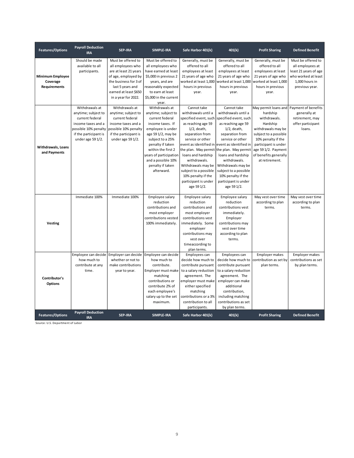| <b>Features/Options</b>                                    | <b>Payroll Deduction</b><br><b>IRA</b>                                                                                                               | <b>SEP-IRA</b>                                                                                                                                                                       | <b>SIMPLE-IRA</b>                                                                                                                                                                                                                                                       | Safe Harbor 401(k)                                                                                                                                                                                                                                                                                                                        | 401(k)                                                                                                                                                                                                                                                                                                                                        | <b>Profit Sharing</b>                                                                                                                                                                                                       | <b>Defined Benefit</b>                                                                                                     |
|------------------------------------------------------------|------------------------------------------------------------------------------------------------------------------------------------------------------|--------------------------------------------------------------------------------------------------------------------------------------------------------------------------------------|-------------------------------------------------------------------------------------------------------------------------------------------------------------------------------------------------------------------------------------------------------------------------|-------------------------------------------------------------------------------------------------------------------------------------------------------------------------------------------------------------------------------------------------------------------------------------------------------------------------------------------|-----------------------------------------------------------------------------------------------------------------------------------------------------------------------------------------------------------------------------------------------------------------------------------------------------------------------------------------------|-----------------------------------------------------------------------------------------------------------------------------------------------------------------------------------------------------------------------------|----------------------------------------------------------------------------------------------------------------------------|
| <b>Minimum Employee</b><br>Coverage<br><b>Requirements</b> | Should be made<br>available to all<br>participants.                                                                                                  | Must be offered to<br>all employees who<br>are at least 21 years<br>of age, employed by<br>the business for 3 of<br>last 5 years and<br>earned at least \$650<br>in a year for 2022. | Must be offered to<br>all employees who<br>have earned at least<br>\$5,000 in previous 2<br>years, and are<br>reasonably expected<br>to earn at least<br>\$5,000 in the current<br>year.                                                                                | Generally, must be<br>offered to all<br>employees at least<br>21 years of age who<br>worked at least 1,000<br>hours in previous<br>year.                                                                                                                                                                                                  | Generally, must be<br>offered to all<br>employees at least<br>21 years of age who<br>worked at least 1,000<br>hours in previous<br>year.                                                                                                                                                                                                      | Generally, must be<br>offered to all<br>employees at least<br>21 years of age who<br>worked at least 1,000<br>hours in previous<br>year.                                                                                    | Must be offered to<br>all employees at<br>least 21 years of age<br>who worked at least<br>1.000 hours in<br>previous year. |
| Withdrawals, Loans<br>and Payments                         | Withdrawals at<br>anytime; subject to<br>current federal<br>income taxes and a<br>possible 10% penalty<br>if the participant is<br>under age 59 1/2. | Withdrawals at<br>anytime; subject to<br>current federal<br>income taxes and a<br>possible 10% penalty<br>if the participant is<br>under age 59 1/2.                                 | Withdrawals at<br>anytime; subject to<br>current federal<br>income taxes. If<br>employee is under<br>age 59 1/2, may be<br>subject to a 25%<br>penalty if taken<br>within the first 2<br>years of participation<br>and a possible 10%<br>penalty if taken<br>afterward. | Cannot take<br>withdrawals until a<br>specified event, such<br>as reaching age 59<br>$1/2$ , death,<br>separation from<br>service or other<br>the plan. May permit the plan. May permit<br>loans and hardship<br>withdrawals.<br>Withdrawals may be<br>subject to a possible<br>10% penalty if the<br>participant is under<br>age 59 1/2. | Cannot take<br>withdrawals until a<br>specified event, such<br>as reaching age 59<br>$1/2$ , death,<br>separation from<br>service or other<br>event as identified in event as identified in<br>loans and hardship<br>withdrawals.<br>Withdrawals may be<br>subject to a possible<br>10% penalty if the<br>participant is under<br>age 59 1/2. | May permit loans and<br>hardship<br>withdrawals.<br>Hardship<br>withdrawals may be<br>subject to a possible<br>10% penalty if the<br>participant is under<br>age 59 1/2. Payment<br>of benefits generally<br>at retirement. | Payment of benefits<br>generally at<br>retirement, may<br>offer participant<br>loans.                                      |
| <b>Vesting</b>                                             | Immediate 100%                                                                                                                                       | Immediate 100%                                                                                                                                                                       | Employee salary<br>reduction<br>contributions and<br>most employer<br>contributions vested<br>100% immediately.                                                                                                                                                         | Employee salary<br>reduction<br>contributions and<br>most employer<br>contributions vest<br>immediately. Some<br>employer<br>contributions may<br>vest over<br>timeaccording to<br>plan terms.                                                                                                                                            | Employee salary<br>reduction<br>contributions vest<br>immediately.<br>Employer<br>contributions may<br>vest over time<br>according to plan<br>terms.                                                                                                                                                                                          | May vest over time<br>according to plan<br>terms.                                                                                                                                                                           | May vest over time<br>according to plan<br>terms.                                                                          |
| Contributor's<br><b>Options</b>                            | Employee can decide<br>how much to<br>contribute at any<br>time.                                                                                     | Employer can decide<br>whether or not to<br>make contributions<br>year to year.                                                                                                      | Employee can decide<br>how much to<br>contribute.<br>Employer must make<br>matching<br>contributions or<br>contribute 2% of<br>each employee's<br>salary up to the set<br>maximum.                                                                                      | Employees can<br>decide how much to<br>contribute pursuant<br>to a salary reduction<br>agreement. The<br>employer must make<br>either specified<br>matching<br>contributions or a 3%<br>contribution to all<br>participants.                                                                                                              | Employees can<br>decide how much to<br>contribute pursuant<br>to a salary reduction<br>agreement. The<br>employer can make<br>additional<br>contribution,<br>including matching<br>contributions as set<br>by plan terms.                                                                                                                     | <b>Employer makes</b><br>contribution as set by<br>plan terms.                                                                                                                                                              | Employer makes<br>contributions as set<br>by plan terms.                                                                   |
| <b>Features/Options</b>                                    | <b>Payroll Deduction</b><br><b>IRA</b>                                                                                                               | <b>SEP-IRA</b>                                                                                                                                                                       | <b>SIMPLE-IRA</b>                                                                                                                                                                                                                                                       | Safe Harbor 401(k)                                                                                                                                                                                                                                                                                                                        | 401(k)                                                                                                                                                                                                                                                                                                                                        | <b>Profit Sharing</b>                                                                                                                                                                                                       | <b>Defined Benefit</b>                                                                                                     |

Source: U.S. Department of Labor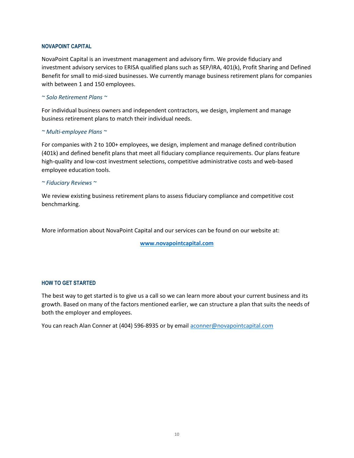#### **NOVAPOINT CAPITAL**

NovaPoint Capital is an investment management and advisory firm. We provide fiduciary and investment advisory services to ERISA qualified plans such as SEP/IRA, 401(k), Profit Sharing and Defined Benefit for small to mid-sized businesses. We currently manage business retirement plans for companies with between 1 and 150 employees.

#### *~ Solo Retirement Plans ~*

For individual business owners and independent contractors, we design, implement and manage business retirement plans to match their individual needs.

#### *~ Multi-employee Plans ~*

For companies with 2 to 100+ employees, we design, implement and manage defined contribution (401k) and defined benefit plans that meet all fiduciary compliance requirements. Our plans feature high-quality and low-cost investment selections, competitive administrative costs and web-based employee education tools.

#### *~ Fiduciary Reviews ~*

We review existing business retirement plans to assess fiduciary compliance and competitive cost benchmarking.

More information about NovaPoint Capital and our services can be found on our website at:

**[www.novapointcapital.com](http://www.novapointcapital.com/)**

#### **HOW TO GET STARTED**

The best way to get started is to give us a call so we can learn more about your current business and its growth. Based on many of the factors mentioned earlier, we can structure a plan that suits the needs of both the employer and employees.

You can reach Alan Conner at (404) 596-8935 or by email [aconner@novapointcapital.com](mailto:aconner@novapointcapital.com)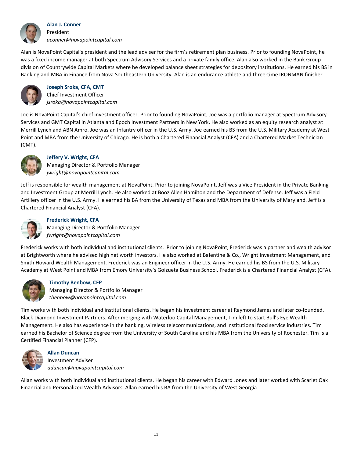

**Alan J. Conner** President *aconner@novapointcapital.com*

Alan is NovaPoint Capital's president and the lead adviser for the firm's retirement plan business. Prior to founding NovaPoint, he was a fixed income manager at both Spectrum Advisory Services and a private family office. Alan also worked in the Bank Group division of Countrywide Capital Markets where he developed balance sheet strategies for depository institutions. He earned his BS in Banking and MBA in Finance from Nova Southeastern University. Alan is an endurance athlete and three-time IRONMAN finisher.



**Joseph Sroka, CFA, CMT** Chief Investment Officer *jsroka@novapointcapital.com*

Joe is NovaPoint Capital's chief investment officer. Prior to founding NovaPoint, Joe was a portfolio manager at Spectrum Advisory Services and GMT Capital in Atlanta and Epoch Investment Partners in New York. He also worked as an equity research analyst at Merrill Lynch and ABN Amro. Joe was an Infantry officer in the U.S. Army. Joe earned his BS from the U.S. Military Academy at West Point and MBA from the University of Chicago. He is both a Chartered Financial Analyst (CFA) and a Chartered Market Technician (CMT).



# **Jeffery V. Wright, CFA**

Managing Director & Portfolio Manager *jwright@novapointcapital.com*

Jeff is responsible for wealth management at NovaPoint. Prior to joining NovaPoint, Jeff was a Vice President in the Private Banking and Investment Group at Merrill Lynch. He also worked at Booz Allen Hamilton and the Department of Defense. Jeff was a Field Artillery officer in the U.S. Army. He earned his BA from the University of Texas and MBA from the University of Maryland. Jeff is a Chartered Financial Analyst (CFA).



# **Frederick Wright, CFA**

Managing Director & Portfolio Manager *fwright@novapointcapital.com*

Frederick works with both individual and institutional clients. Prior to joining NovaPoint, Frederick was a partner and wealth advisor at Brightworth where he advised high net worth investors. He also worked at Balentine & Co., Wright Investment Management, and Smith Howard Wealth Management. Frederick was an Engineer officer in the U.S. Army. He earned his BS from the U.S. Military Academy at West Point and MBA from Emory University's Goizueta Business School. Frederick is a Chartered Financial Analyst (CFA).



## **Timothy Benbow, CFP**

Managing Director & Portfolio Manager *tbenbow@novapointcapital.com*

Tim works with both individual and institutional clients. He began his investment career at Raymond James and later co-founded. Black Diamond Investment Partners. After merging with Waterloo Capital Management, Tim left to start Bull's Eye Wealth Management. He also has experience in the banking, wireless telecommunications, and institutional food service industries. Tim earned his Bachelor of Science degree from the University of South Carolina and his MBA from the University of Rochester. Tim is a Certified Financial Planner (CFP).



**Allan Duncan** Investment Adviser *aduncan@novapointcapital.com*

Allan works with both individual and institutional clients. He began his career with Edward Jones and later worked with Scarlet Oak Financial and Personalized Wealth Advisors. Allan earned his BA from the University of West Georgia.